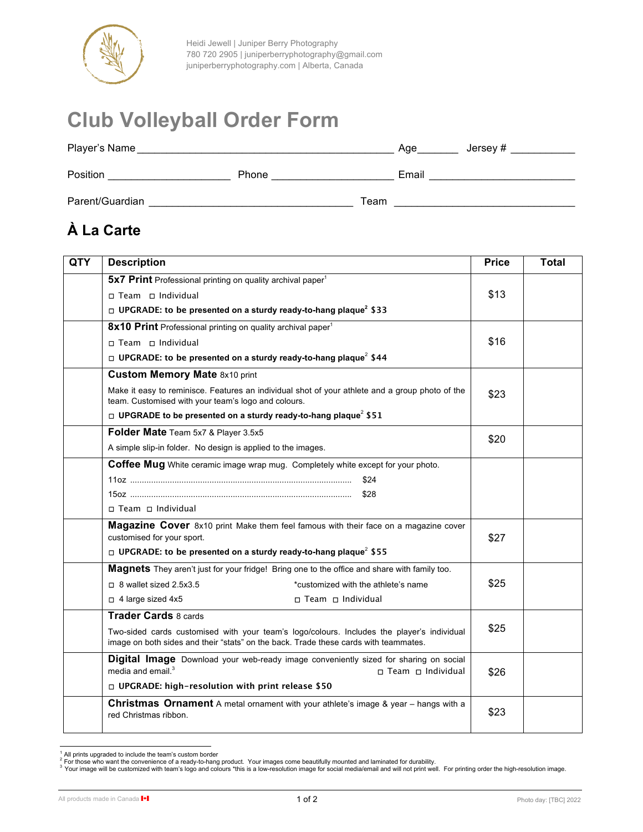

# **Club Volleyball Order Form**

| Player's Name   | Jersey #<br>Age |       |
|-----------------|-----------------|-------|
| Position        | Phone           | Email |
| Parent/Guardian | Team            |       |

## **À La Carte**

| <b>QTY</b> | <b>Description</b>                                                                                                                                                                 | <b>Price</b> | <b>Total</b> |
|------------|------------------------------------------------------------------------------------------------------------------------------------------------------------------------------------|--------------|--------------|
|            | 5x7 Print Professional printing on quality archival paper <sup>1</sup>                                                                                                             |              |              |
|            | □ Team □ Individual                                                                                                                                                                | \$13         |              |
|            | □ UPGRADE: to be presented on a sturdy ready-to-hang plaque <sup>2</sup> \$33                                                                                                      |              |              |
|            | 8x10 Print Professional printing on quality archival paper <sup>1</sup>                                                                                                            |              |              |
|            | □ Team □ Individual                                                                                                                                                                | \$16         |              |
|            | $\Box$ UPGRADE: to be presented on a sturdy ready-to-hang plaque <sup>2</sup> \$44                                                                                                 |              |              |
|            | <b>Custom Memory Mate 8x10 print</b>                                                                                                                                               |              |              |
|            | Make it easy to reminisce. Features an individual shot of your athlete and a group photo of the<br>team. Customised with your team's logo and colours.                             | \$23         |              |
|            | $\Box$ UPGRADE to be presented on a sturdy ready-to-hang plaque <sup>2</sup> \$51                                                                                                  |              |              |
|            | Folder Mate Team 5x7 & Player 3.5x5                                                                                                                                                | \$20         |              |
|            | A simple slip-in folder. No design is applied to the images.                                                                                                                       |              |              |
|            | Coffee Mug White ceramic image wrap mug. Completely white except for your photo.                                                                                                   |              |              |
|            | \$24                                                                                                                                                                               |              |              |
|            |                                                                                                                                                                                    |              |              |
|            | □ Team □ Individual                                                                                                                                                                |              |              |
|            | <b>Magazine Cover</b> 8x10 print Make them feel famous with their face on a magazine cover<br>customised for your sport.                                                           | \$27         |              |
|            | $\Box$ UPGRADE: to be presented on a sturdy ready-to-hang plaque <sup>2</sup> \$55                                                                                                 |              |              |
|            | <b>Magnets</b> They aren't just for your fridge! Bring one to the office and share with family too.                                                                                |              |              |
|            | $\Box$ 8 wallet sized 2.5x3.5<br>*customized with the athlete's name                                                                                                               | \$25         |              |
|            | $\Box$ 4 large sized 4x5<br>□ Team □ Individual                                                                                                                                    |              |              |
|            | <b>Trader Cards 8 cards</b>                                                                                                                                                        |              |              |
|            | Two-sided cards customised with your team's logo/colours. Includes the player's individual<br>image on both sides and their "stats" on the back. Trade these cards with teammates. | \$25         |              |
|            | Digital Image Download your web-ready image conveniently sized for sharing on social<br>media and email. <sup>3</sup><br>□ Team □ Individual                                       | \$26         |              |
|            | □ UPGRADE: high-resolution with print release \$50                                                                                                                                 |              |              |
|            | <b>Christmas Ornament</b> A metal ornament with your athlete's image & year - hangs with a<br>red Christmas ribbon.                                                                | \$23         |              |

<sup>&</sup>lt;sup>1</sup> All prints upgraded to include the team's custom border<br><sup>2</sup> For those who want the convenience of a ready-to-hang product. Your images come beautifully mounted and laminated for durability.<br><sup>3</sup> Your image will be custo